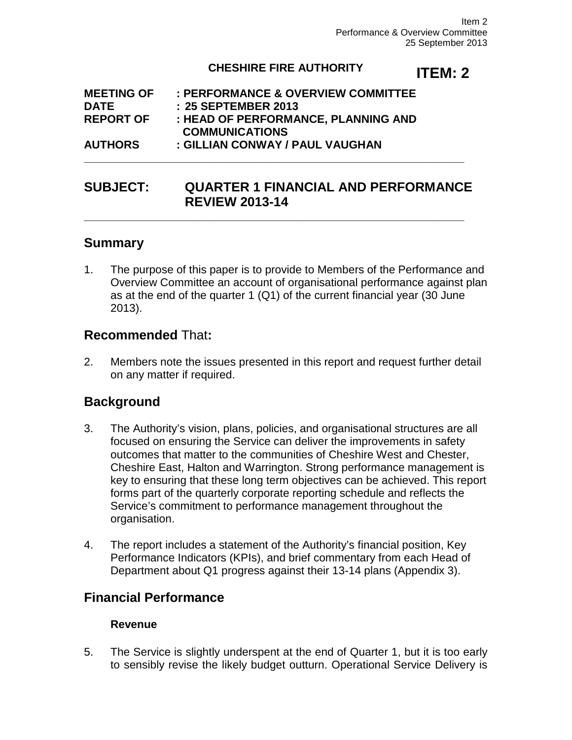#### **CHESHIRE FIRE AUTHORITY**

# **ITEM: 2**

| <b>MEETING OF</b> | : PERFORMANCE & OVERVIEW COMMITTEE  |
|-------------------|-------------------------------------|
| <b>DATE</b>       | : 25 SEPTEMBER 2013                 |
| <b>REPORT OF</b>  | : HEAD OF PERFORMANCE, PLANNING AND |
|                   | <b>COMMUNICATIONS</b>               |
| <b>AUTHORS</b>    | : GILLIAN CONWAY / PAUL VAUGHAN     |

# **SUBJECT: QUARTER 1 FINANCIAL AND PERFORMANCE REVIEW 2013-14**

**\_\_\_\_\_\_\_\_\_\_\_\_\_\_\_\_\_\_\_\_\_\_\_\_\_\_\_\_\_\_\_\_\_\_\_\_\_\_\_\_\_\_\_\_\_\_\_\_\_\_\_\_\_\_\_\_\_\_\_\_\_**

**\_\_\_\_\_\_\_\_\_\_\_\_\_\_\_\_\_\_\_\_\_\_\_\_\_\_\_\_\_\_\_\_\_\_\_\_\_\_\_\_\_\_\_\_\_\_\_\_\_\_\_\_\_\_\_\_\_\_\_\_\_**

#### **Summary**

1. The purpose of this paper is to provide to Members of the Performance and Overview Committee an account of organisational performance against plan as at the end of the quarter 1 (Q1) of the current financial year (30 June 2013).

# **Recommended** That**:**

2. Members note the issues presented in this report and request further detail on any matter if required.

# **Background**

- 3. The Authority's vision, plans, policies, and organisational structures are all focused on ensuring the Service can deliver the improvements in safety outcomes that matter to the communities of Cheshire West and Chester, Cheshire East, Halton and Warrington. Strong performance management is key to ensuring that these long term objectives can be achieved. This report forms part of the quarterly corporate reporting schedule and reflects the Service's commitment to performance management throughout the organisation.
- 4. The report includes a statement of the Authority's financial position, Key Performance Indicators (KPIs), and brief commentary from each Head of Department about Q1 progress against their 13-14 plans (Appendix 3).

# **Financial Performance**

#### **Revenue**

5. The Service is slightly underspent at the end of Quarter 1, but it is too early to sensibly revise the likely budget outturn. Operational Service Delivery is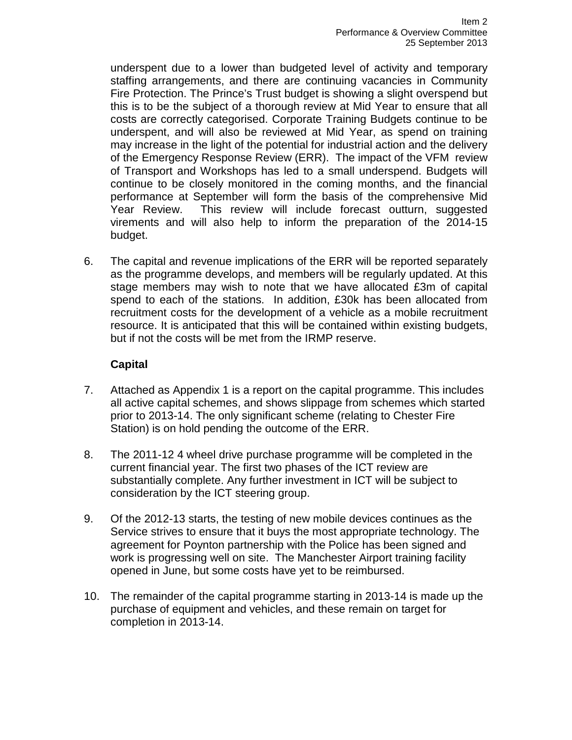underspent due to a lower than budgeted level of activity and temporary staffing arrangements, and there are continuing vacancies in Community Fire Protection. The Prince's Trust budget is showing a slight overspend but this is to be the subject of a thorough review at Mid Year to ensure that all costs are correctly categorised. Corporate Training Budgets continue to be underspent, and will also be reviewed at Mid Year, as spend on training may increase in the light of the potential for industrial action and the delivery of the Emergency Response Review (ERR). The impact of the VFM review of Transport and Workshops has led to a small underspend. Budgets will continue to be closely monitored in the coming months, and the financial performance at September will form the basis of the comprehensive Mid Year Review. This review will include forecast outturn, suggested virements and will also help to inform the preparation of the 2014-15 budget.

6. The capital and revenue implications of the ERR will be reported separately as the programme develops, and members will be regularly updated. At this stage members may wish to note that we have allocated £3m of capital spend to each of the stations. In addition, £30k has been allocated from recruitment costs for the development of a vehicle as a mobile recruitment resource. It is anticipated that this will be contained within existing budgets, but if not the costs will be met from the IRMP reserve.

#### **Capital**

- 7. Attached as Appendix 1 is a report on the capital programme. This includes all active capital schemes, and shows slippage from schemes which started prior to 2013-14. The only significant scheme (relating to Chester Fire Station) is on hold pending the outcome of the ERR.
- 8. The 2011-12 4 wheel drive purchase programme will be completed in the current financial year. The first two phases of the ICT review are substantially complete. Any further investment in ICT will be subject to consideration by the ICT steering group.
- 9. Of the 2012-13 starts, the testing of new mobile devices continues as the Service strives to ensure that it buys the most appropriate technology. The agreement for Poynton partnership with the Police has been signed and work is progressing well on site. The Manchester Airport training facility opened in June, but some costs have yet to be reimbursed.
- 10. The remainder of the capital programme starting in 2013-14 is made up the purchase of equipment and vehicles, and these remain on target for completion in 2013-14.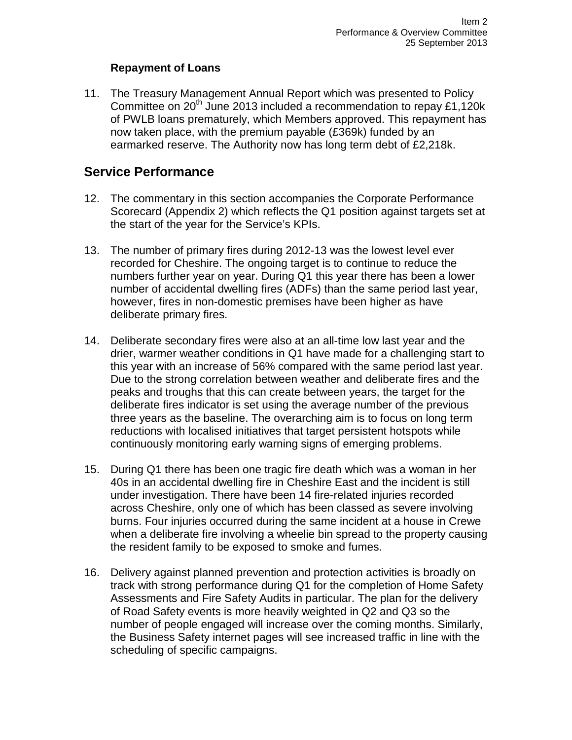#### **Repayment of Loans**

11. The Treasury Management Annual Report which was presented to Policy Committee on 20<sup>th</sup> June 2013 included a recommendation to repay £1,120k of PWLB loans prematurely, which Members approved. This repayment has now taken place, with the premium payable (£369k) funded by an earmarked reserve. The Authority now has long term debt of £2,218k.

# **Service Performance**

- 12. The commentary in this section accompanies the Corporate Performance Scorecard (Appendix 2) which reflects the Q1 position against targets set at the start of the year for the Service's KPIs.
- 13. The number of primary fires during 2012-13 was the lowest level ever recorded for Cheshire. The ongoing target is to continue to reduce the numbers further year on year. During Q1 this year there has been a lower number of accidental dwelling fires (ADFs) than the same period last year, however, fires in non-domestic premises have been higher as have deliberate primary fires.
- 14. Deliberate secondary fires were also at an all-time low last year and the drier, warmer weather conditions in Q1 have made for a challenging start to this year with an increase of 56% compared with the same period last year. Due to the strong correlation between weather and deliberate fires and the peaks and troughs that this can create between years, the target for the deliberate fires indicator is set using the average number of the previous three years as the baseline. The overarching aim is to focus on long term reductions with localised initiatives that target persistent hotspots while continuously monitoring early warning signs of emerging problems.
- 15. During Q1 there has been one tragic fire death which was a woman in her 40s in an accidental dwelling fire in Cheshire East and the incident is still under investigation. There have been 14 fire-related injuries recorded across Cheshire, only one of which has been classed as severe involving burns. Four injuries occurred during the same incident at a house in Crewe when a deliberate fire involving a wheelie bin spread to the property causing the resident family to be exposed to smoke and fumes.
- 16. Delivery against planned prevention and protection activities is broadly on track with strong performance during Q1 for the completion of Home Safety Assessments and Fire Safety Audits in particular. The plan for the delivery of Road Safety events is more heavily weighted in Q2 and Q3 so the number of people engaged will increase over the coming months. Similarly, the Business Safety internet pages will see increased traffic in line with the scheduling of specific campaigns.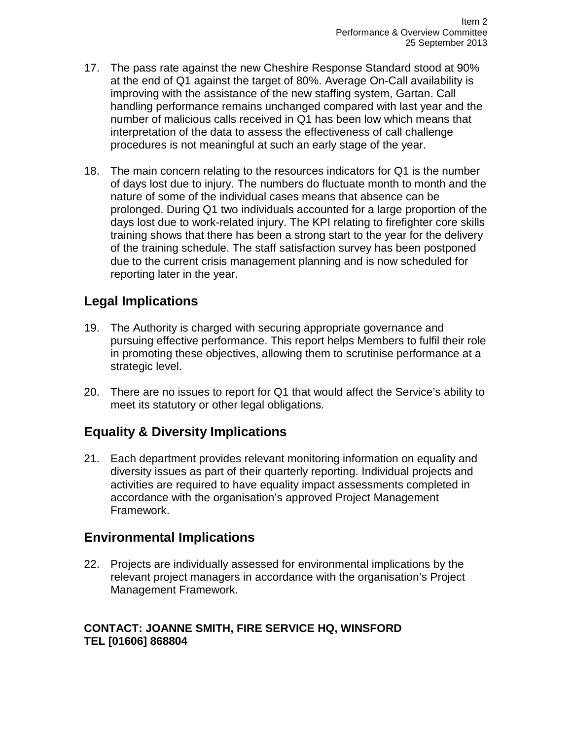- 17. The pass rate against the new Cheshire Response Standard stood at 90% at the end of Q1 against the target of 80%. Average On-Call availability is improving with the assistance of the new staffing system, Gartan. Call handling performance remains unchanged compared with last year and the number of malicious calls received in Q1 has been low which means that interpretation of the data to assess the effectiveness of call challenge procedures is not meaningful at such an early stage of the year.
- 18. The main concern relating to the resources indicators for Q1 is the number of days lost due to injury. The numbers do fluctuate month to month and the nature of some of the individual cases means that absence can be prolonged. During Q1 two individuals accounted for a large proportion of the days lost due to work-related injury. The KPI relating to firefighter core skills training shows that there has been a strong start to the year for the delivery of the training schedule. The staff satisfaction survey has been postponed due to the current crisis management planning and is now scheduled for reporting later in the year.

# **Legal Implications**

- 19. The Authority is charged with securing appropriate governance and pursuing effective performance. This report helps Members to fulfil their role in promoting these objectives, allowing them to scrutinise performance at a strategic level.
- 20. There are no issues to report for Q1 that would affect the Service's ability to meet its statutory or other legal obligations.

# **Equality & Diversity Implications**

21. Each department provides relevant monitoring information on equality and diversity issues as part of their quarterly reporting. Individual projects and activities are required to have equality impact assessments completed in accordance with the organisation's approved Project Management Framework.

# **Environmental Implications**

22. Projects are individually assessed for environmental implications by the relevant project managers in accordance with the organisation's Project Management Framework.

#### **CONTACT: JOANNE SMITH, FIRE SERVICE HQ, WINSFORD TEL [01606] 868804**